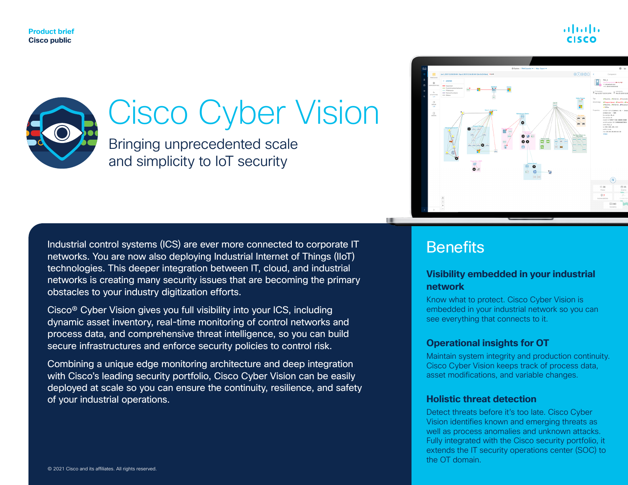



# Cisco Cyber Vision

Bringing unprecedented scale and simplicity to IoT security

Industrial control systems (ICS) are ever more connected to corporate IT networks. You are now also deploying Industrial Internet of Things (IIoT) technologies. This deeper integration between IT, cloud, and industrial networks is creating many security issues that are becoming the primary obstacles to your industry digitization efforts.

Cisco® Cyber Vision gives you full visibility into your ICS, including dynamic asset inventory, real-time monitoring of control networks and process data, and comprehensive threat intelligence, so you can build secure infrastructures and enforce security policies to control risk.

Combining a unique edge monitoring architecture and deep integration with Cisco's leading security portfolio, Cisco Cyber Vision can be easily deployed at scale so you can ensure the continuity, resilience, and safety of your industrial operations.

### **Benefits**

#### **Visibility embedded in your industrial network**

Know what to protect. Cisco Cyber Vision is embedded in your industrial network so you can see everything that connects to it.

#### **Operational insights for OT**

Maintain system integrity and production continuity. Cisco Cyber Vision keeps track of process data, asset modifications, and variable changes.

#### **Holistic threat detection**

Detect threats before it's too late. Cisco Cyber Vision identifies known and emerging threats as well as process anomalies and unknown attacks. Fully integrated with the Cisco security portfolio, it extends the IT security operations center (SOC) to the OT domain.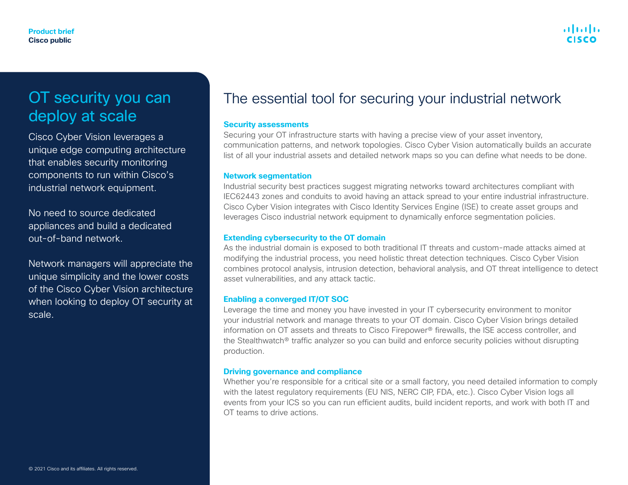## OT security you can deploy at scale

Cisco Cyber Vision leverages a unique edge computing architecture that enables security monitoring components to run within Cisco's industrial network equipment.

No need to source dedicated appliances and build a dedicated out-of-band network.

Network managers will appreciate the unique simplicity and the lower costs of the Cisco Cyber Vision architecture when looking to deploy OT security at scale.

### The essential tool for securing your industrial network

#### **Security assessments**

Securing your OT infrastructure starts with having a precise view of your asset inventory, communication patterns, and network topologies. Cisco Cyber Vision automatically builds an accurate list of all your industrial assets and detailed network maps so you can define what needs to be done.

#### **Network segmentation**

Industrial security best practices suggest migrating networks toward architectures compliant with IEC62443 zones and conduits to avoid having an attack spread to your entire industrial infrastructure. Cisco Cyber Vision integrates with Cisco Identity Services Engine (ISE) to create asset groups and leverages Cisco industrial network equipment to dynamically enforce segmentation policies.

#### **Extending cybersecurity to the OT domain**

As the industrial domain is exposed to both traditional IT threats and custom-made attacks aimed at modifying the industrial process, you need holistic threat detection techniques. Cisco Cyber Vision combines protocol analysis, intrusion detection, behavioral analysis, and OT threat intelligence to detect asset vulnerabilities, and any attack tactic.

#### **Enabling a converged IT/OT SOC**

Leverage the time and money you have invested in your IT cybersecurity environment to monitor your industrial network and manage threats to your OT domain. Cisco Cyber Vision brings detailed information on OT assets and threats to Cisco Firepower® firewalls, the ISE access controller, and the Stealthwatch® traffic analyzer so you can build and enforce security policies without disrupting production.

#### **Driving governance and compliance**

Whether you're responsible for a critical site or a small factory, you need detailed information to comply with the latest regulatory requirements (EU NIS, NERC CIP, FDA, etc.). Cisco Cyber Vision logs all events from your ICS so you can run efficient audits, build incident reports, and work with both IT and OT teams to drive actions.